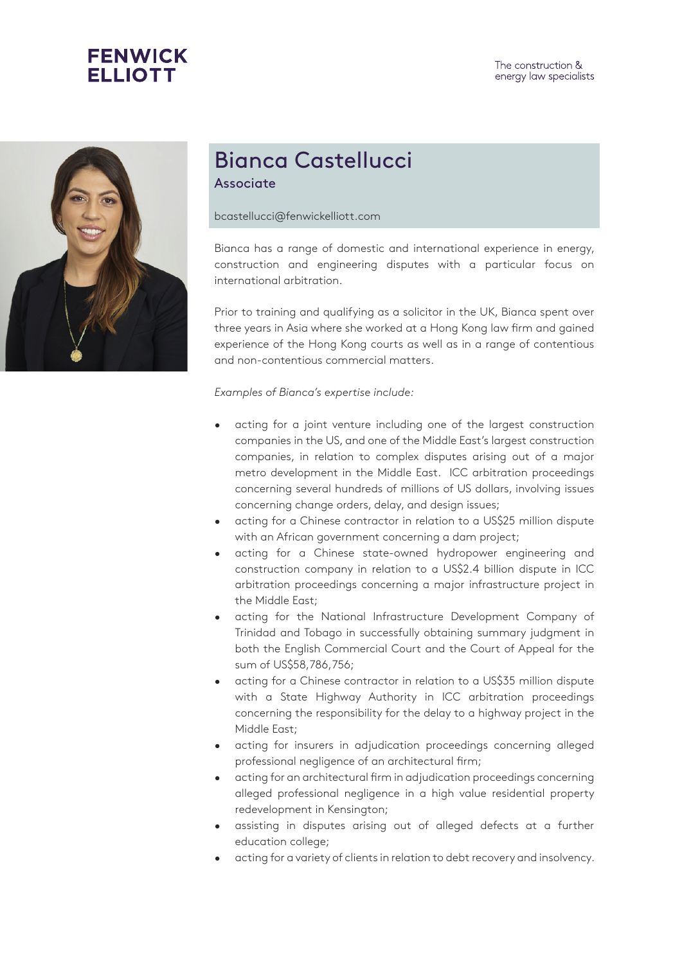



## Bianca Castellucci Associate

bcastellucci@fenwickelliott.com

Bianca has a range of domestic and international experience in energy, construction and engineering disputes with a particular focus on international arbitration.

Prior to training and qualifying as a solicitor in the UK, Bianca spent over three years in Asia where she worked at a Hong Kong law firm and gained experience of the Hong Kong courts as well as in a range of contentious and non-contentious commercial matters.

## *Examples of Bianca's expertise include:*

- acting for a joint venture including one of the largest construction companies in the US, and one of the Middle East's largest construction companies, in relation to complex disputes arising out of a major metro development in the Middle East. ICC arbitration proceedings concerning several hundreds of millions of US dollars, involving issues concerning change orders, delay, and design issues;
- acting for a Chinese contractor in relation to a US\$25 million dispute with an African government concerning a dam project;
- acting for a Chinese state-owned hydropower engineering and construction company in relation to a US\$2.4 billion dispute in ICC arbitration proceedings concerning a major infrastructure project in the Middle East;
- acting for the National Infrastructure Development Company of Trinidad and Tobago in successfully obtaining summary judgment in both the English Commercial Court and the Court of Appeal for the sum of US\$58,786,756;
- acting for a Chinese contractor in relation to a US\$35 million dispute with a State Highway Authority in ICC arbitration proceedings concerning the responsibility for the delay to a highway project in the Middle East;
- acting for insurers in adjudication proceedings concerning alleged professional negligence of an architectural firm;
- acting for an architectural firm in adjudication proceedings concerning alleged professional negligence in a high value residential property redevelopment in Kensington;
- assisting in disputes arising out of alleged defects at a further education college;
- acting for a variety of clients in relation to debt recovery and insolvency.